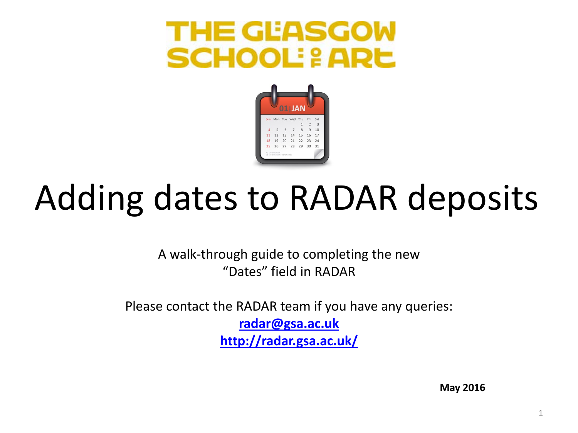### THE GEASGOW **SCHOOL: & ARE**



# Adding dates to RADAR deposits

A walk-through guide to completing the new "Dates" field in RADAR

Please contact the RADAR team if you have any queries: **[radar@gsa.ac.uk](mailto:radar@gsa.ac.uk) <http://radar.gsa.ac.uk/>**

**May 2016**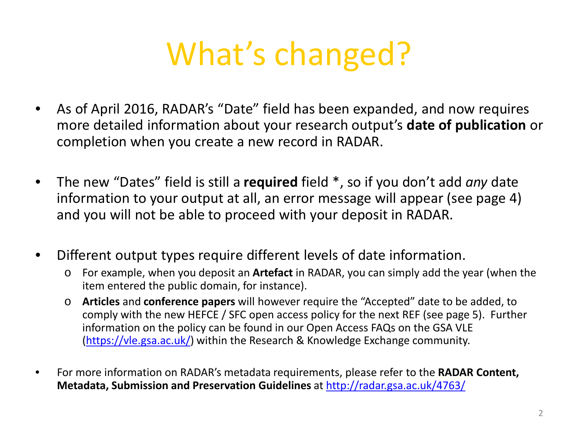## What's changed?

- As of April 2016, RADAR's "Date" field has been expanded, and now requires more detailed information about your research output's **date of publication** or completion when you create a new record in RADAR.
- The new "Dates" field is still a **required** field \*, so if you don't add *any* date information to your output at all, an error message will appear (see page 4) and you will not be able to proceed with your deposit in RADAR.
- Different output types require different levels of date information.
	- o For example, when you deposit an **Artefact** in RADAR, you can simply add the year (when the item entered the public domain, for instance).
	- o **Articles** and **conference papers** will however require the "Accepted" date to be added, to comply with the new HEFCE / SFC open access policy for the next REF (see page 5). Further information on the policy can be found in our Open Access FAQs on the GSA VLE [\(https://vle.gsa.ac.uk/](https://vle.gsa.ac.uk/)) within the Research & Knowledge Exchange community.
- For more information on RADAR's metadata requirements, please refer to the **RADAR Content, Metadata, Submission and Preservation Guidelines** at<http://radar.gsa.ac.uk/4763/>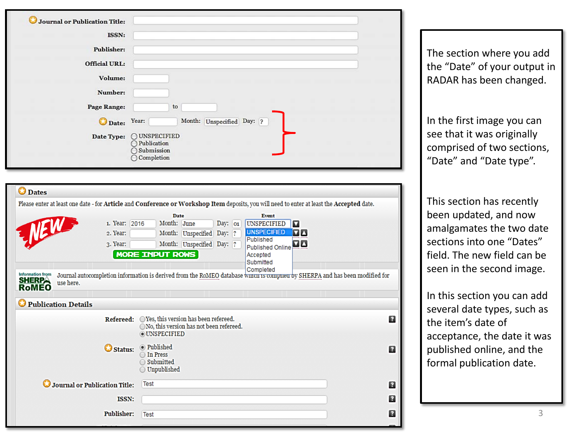| Journal or Publication Title:                           |                                                                                                                                           |              |
|---------------------------------------------------------|-------------------------------------------------------------------------------------------------------------------------------------------|--------------|
| ISSN:                                                   |                                                                                                                                           |              |
| <b>Publisher:</b>                                       |                                                                                                                                           |              |
| <b>Official URL:</b>                                    |                                                                                                                                           |              |
| Volume:                                                 |                                                                                                                                           |              |
| Number:                                                 |                                                                                                                                           |              |
| Page Range:                                             | to                                                                                                                                        |              |
| Date:                                                   | Year:<br>Month: Unspecified Day: ?                                                                                                        |              |
|                                                         | Date Type: OUNSPECIFIED                                                                                                                   |              |
|                                                         | O Publication<br>○ Submission                                                                                                             |              |
|                                                         | $\bigcirc$ Completion                                                                                                                     |              |
|                                                         |                                                                                                                                           |              |
| <b>O</b> Dates                                          |                                                                                                                                           |              |
|                                                         | Please enter at least one date - for Article and Conference or Workshop Item deposits, you will need to enter at least the Accepted date. |              |
|                                                         | <b>Date</b><br><b>Event</b>                                                                                                               |              |
| 2. Year:                                                | 1. Year: 2016<br>Month: June<br>Day: $ 01 $<br>UNSPECIFIED<br>◘<br><b>UNSPECIFIED</b><br>ØД<br>Month: Unspecified Day: ?                  |              |
| JUSW<br>3. Year:                                        | Published<br>Month: Unspecified Day: ?<br>Published Online                                                                                |              |
|                                                         | <b>MORE INPUT ROWS</b><br>Accepted                                                                                                        |              |
|                                                         | Submitted<br>Completed                                                                                                                    |              |
| Information from<br><b>SHERPA</b><br>use here.<br>RoMEO | Journal autocompletion information is derived from the RoMEO database wmcn is compneu by SHERPA and has been modified for                 |              |
|                                                         |                                                                                                                                           |              |
| Publication Details                                     |                                                                                                                                           |              |
|                                                         | Refereed: OYes, this version has been refereed.<br>$\bigcirc$ No, this version has not been refereed.                                     | $\mathbf{r}$ |
|                                                         | <b>OUNSPECIFIED</b>                                                                                                                       |              |
|                                                         | Status: Published<br>◯ In Press                                                                                                           | Ø            |
|                                                         | $\bigcirc$ Submitted                                                                                                                      |              |
|                                                         | $\bigcirc$ Unpublished                                                                                                                    |              |
| Journal or Publication Title:                           | Test                                                                                                                                      | 12           |
|                                                         | ISSN:                                                                                                                                     | R            |
|                                                         | Publisher: Test                                                                                                                           | n            |

The section where you add the "Date" of your output in RADAR has been changed.

In the first image you can see that it was originally comprised of two sections, "Date" and "Date type".

This section has recently been updated, and now amalgamates the two date sections into one "Dates" field. The new field can be seen in the second image.

In this section you can add several date types, such as the item's date of acceptance, the date it was published online, and the formal publication date.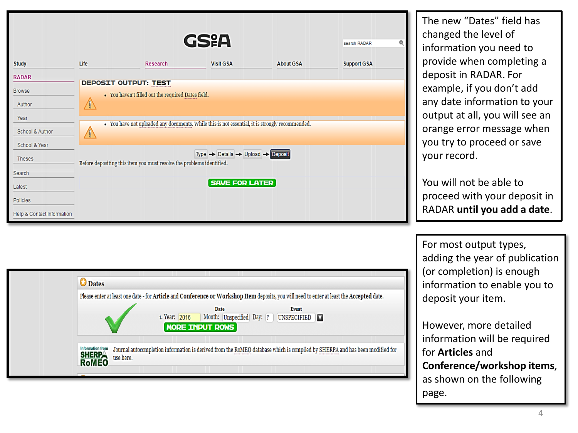| <b>Study</b><br><b>RADAR</b><br><b>Browse</b><br>Author<br>Year<br>School & Author<br>School & Year<br><b>Theses</b><br>Search<br>Latest<br><b>Policies</b><br>Help & Contact Information | Life<br><b>DEPOSIT OUTPUT: TEST</b><br>$\sqrt{\mathfrak{g}}$<br>$\sqrt{6}$ | <b>Research</b><br>• You haven't filled out the required Dates field.<br>• You have not uploaded any documents. While this is not essential, it is strongly recommended.<br>Before depositing this item you must resolve the problems identified. | GSXA<br><b>Visit GSA</b><br>Type $\rightarrow$ Details $\rightarrow$ Upload $\rightarrow$ Deposit<br><b>SAVE FOR LATER</b> | <b>About GSA</b>                                                                                                                                                                                                                                                                                                           | search RADAR<br><b>Support GSA</b> | The new "Dates" field has<br>changed the level of<br>information you need to<br>provide when completing a<br>deposit in RADAR. For<br>example, if you don't add<br>any date information to your<br>output at all, you will see an<br>orange error message when<br>you try to proceed or save<br>your record.<br>You will not be able to<br>proceed with your deposit in<br>RADAR until you add a date. |
|-------------------------------------------------------------------------------------------------------------------------------------------------------------------------------------------|----------------------------------------------------------------------------|---------------------------------------------------------------------------------------------------------------------------------------------------------------------------------------------------------------------------------------------------|----------------------------------------------------------------------------------------------------------------------------|----------------------------------------------------------------------------------------------------------------------------------------------------------------------------------------------------------------------------------------------------------------------------------------------------------------------------|------------------------------------|--------------------------------------------------------------------------------------------------------------------------------------------------------------------------------------------------------------------------------------------------------------------------------------------------------------------------------------------------------------------------------------------------------|
|                                                                                                                                                                                           | <b>O</b> Dates<br>Information from<br><b>SHERPA</b><br>use here.           | 1. Year: 2016                                                                                                                                                                                                                                     | Date<br><b>MORE INPUT ROWS</b>                                                                                             | Please enter at least one date - for Article and Conference or Workshop Item deposits, you will need to enter at least the Accepted date.<br>Event<br>Month: Unspecified Day: ? UNSPECIFIED<br>Journal autocompletion information is derived from the RoMEO database which is compiled by SHERPA and has been modified for |                                    | For most output types,<br>adding the year of publication<br>(or completion) is enough<br>information to enable you to<br>deposit your item.<br>However, more detailed<br>information will be required<br>for <b>Articles</b> and<br>Conference/workshop items,<br>as shown on the following<br>page.                                                                                                   |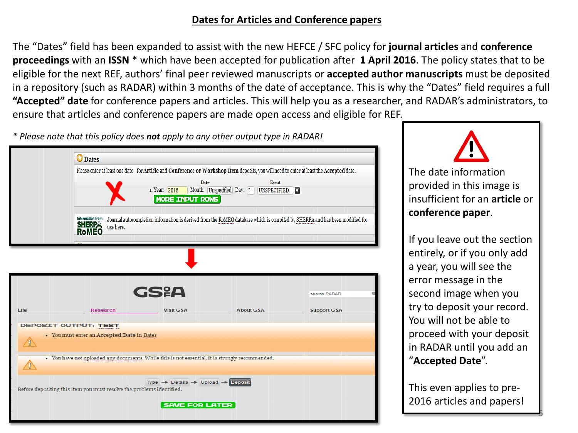#### **Dates for Articles and Conference papers**

The "Dates" field has been expanded to assist with the new HEFCE / SFC policy for **journal articles** and **conference proceedings** with an **ISSN** \* which have been accepted for publication after **1 April 2016**. The policy states that to be eligible for the next REF, authors' final peer reviewed manuscripts or **accepted author manuscripts** must be deposited in a repository (such as RADAR) within 3 months of the date of acceptance. This is why the "Dates" field requires a full **"Accepted" date** for conference papers and articles. This will help you as a researcher, and RADAR's administrators, to ensure that articles and conference papers are made open access and eligible for REF.

*\* Please note that this policy does not apply to any other output type in RADAR!*

|            | <b>Dates</b>                                                                                    |                                                                       |                                                                                                                                                                                                      |                                                                                                                             |
|------------|-------------------------------------------------------------------------------------------------|-----------------------------------------------------------------------|------------------------------------------------------------------------------------------------------------------------------------------------------------------------------------------------------|-----------------------------------------------------------------------------------------------------------------------------|
|            | <b>Information from</b>                                                                         | Date<br>1. Year: 2016<br><b>MORE INPUT ROWS</b>                       | Please enter at least one date - for Article and Conference or Workshop Item deposits, you will need to enter at least the Accepted date.<br><b>Event</b><br>Month: Unspecified Day: ? UNSPECIFIED V | Journal autocompletion information is derived from the RoMEO database which is compiled by SHERPA and has been modified for |
|            | <b>SHERP</b><br>use here.                                                                       |                                                                       |                                                                                                                                                                                                      |                                                                                                                             |
|            |                                                                                                 |                                                                       |                                                                                                                                                                                                      |                                                                                                                             |
|            |                                                                                                 | GS&A                                                                  |                                                                                                                                                                                                      | search RADAR                                                                                                                |
| Life       | <b>Research</b>                                                                                 | <b>Visit GSA</b>                                                      | <b>About GSA</b>                                                                                                                                                                                     | <b>Support GSA</b>                                                                                                          |
| $\sqrt{2}$ | <b>DEPOSIT OUTPUT: TEST</b><br>• You must enter an Accepted Date in Dates                       |                                                                       |                                                                                                                                                                                                      |                                                                                                                             |
| Ţ          | · You have not uploaded any documents. While this is not essential, it is strongly recommended. | Type $\rightarrow$ Details $\rightarrow$ Upload $\rightarrow$ Deposit |                                                                                                                                                                                                      |                                                                                                                             |
|            | Before depositing this item you must resolve the problems identified.                           | <b>SAVE FOR LATER</b>                                                 |                                                                                                                                                                                                      |                                                                                                                             |



The date information provided in this image is insufficient for an **article** or **conference paper**.

If you leave out the section entirely, or if you only add a year, you will see the error message in the second image when you try to deposit your record. You will not be able to proceed with your deposit in RADAR until you add an "**Accepted Date**".

This even applies to pre-2016 articles and papers!

5